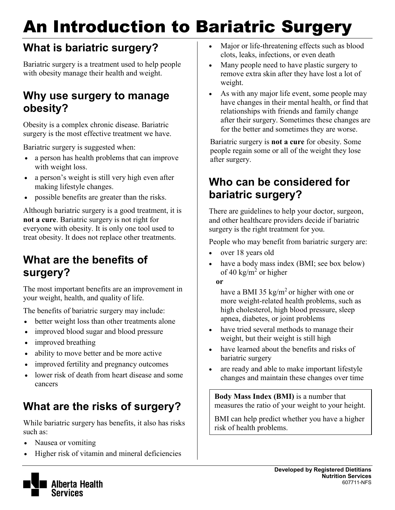# An Introduction to Bariatric Surgery

# **What is bariatric surgery?**

Bariatric surgery is a treatment used to help people with obesity manage their health and weight.

# **Why use surgery to manage obesity?**

Obesity is a complex chronic disease. Bariatric surgery is the most effective treatment we have.

Bariatric surgery is suggested when:

- a person has health problems that can improve with weight loss.
- a person's weight is still very high even after making lifestyle changes.
- possible benefits are greater than the risks.

Although bariatric surgery is a good treatment, it is **not a cure**. Bariatric surgery is not right for everyone with obesity. It is only one tool used to treat obesity. It does not replace other treatments.

# **What are the benefits of surgery?**

The most important benefits are an improvement in your weight, health, and quality of life.

The benefits of bariatric surgery may include:

- better weight loss than other treatments alone
- improved blood sugar and blood pressure
- improved breathing
- ability to move better and be more active
- improved fertility and pregnancy outcomes
- lower risk of death from heart disease and some cancers

# **What are the risks of surgery?**

While bariatric surgery has benefits, it also has risks such as:

- Nausea or vomiting
- Higher risk of vitamin and mineral deficiencies
- Major or life-threatening effects such as blood clots, leaks, infections, or even death
- Many people need to have plastic surgery to remove extra skin after they have lost a lot of weight.
- As with any major life event, some people may have changes in their mental health, or find that relationships with friends and family change after their surgery. Sometimes these changes are for the better and sometimes they are worse.

Bariatric surgery is **not a cure** for obesity. Some people regain some or all of the weight they lose after surgery.

# **Who can be considered for bariatric surgery?**

There are guidelines to help your doctor, surgeon, and other healthcare providers decide if bariatric surgery is the right treatment for you.

People who may benefit from bariatric surgery are:

- over 18 years old
- have a body mass index (BMI; see box below) of 40 kg/m<sup>2</sup> or higher

**or** 

have a BMI 35 kg/m<sup>2</sup> or higher with one or more weight-related health problems, such as high cholesterol, high blood pressure, sleep apnea, diabetes, or joint problems

- have tried several methods to manage their weight, but their weight is still high
- have learned about the benefits and risks of bariatric surgery
- are ready and able to make important lifestyle changes and maintain these changes over time

**Body Mass Index (BMI)** is a number that measures the ratio of your weight to your height.

BMI can help predict whether you have a higher risk of health problems.

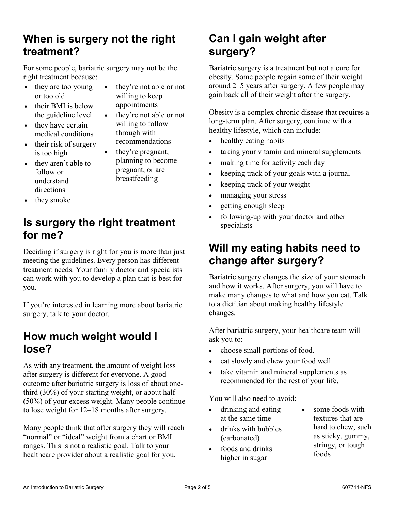## **When is surgery not the right treatment?**

For some people, bariatric surgery may not be the right treatment because:

they're not able or not

 they're not able or not willing to follow through with recommendations they're pregnant, planning to become pregnant, or are breastfeeding

willing to keep appointments

- they are too young or too old
- their BMI is below the guideline level
- they have certain medical conditions
- their risk of surgery is too high
- they aren't able to follow or understand directions
	-
	-
- they smoke

# **Is surgery the right treatment for me?**

Deciding if surgery is right for you is more than just meeting the guidelines. Every person has different treatment needs. Your family doctor and specialists can work with you to develop a plan that is best for you.

If you're interested in learning more about bariatric surgery, talk to your doctor.

### **How much weight would I lose?**

As with any treatment, the amount of weight loss after surgery is different for everyone. A good outcome after bariatric surgery is loss of about onethird (30%) of your starting weight, or about half (50%) of your excess weight. Many people continue to lose weight for 12–18 months after surgery.

Many people think that after surgery they will reach "normal" or "ideal" weight from a chart or BMI ranges. This is not a realistic goal. Talk to your healthcare provider about a realistic goal for you.

# **Can I gain weight after surgery?**

Bariatric surgery is a treatment but not a cure for obesity. Some people regain some of their weight around 2–5 years after surgery. A few people may gain back all of their weight after the surgery.

Obesity is a complex chronic disease that requires a long-term plan. After surgery, continue with a healthy lifestyle, which can include:

- healthy eating habits
- taking your vitamin and mineral supplements
- making time for activity each day
- keeping track of your goals with a journal
- keeping track of your weight
- managing your stress
- getting enough sleep
- following-up with your doctor and other specialists

# **Will my eating habits need to change after surgery?**

Bariatric surgery changes the size of your stomach and how it works. After surgery, you will have to make many changes to what and how you eat. Talk to a dietitian about making healthy lifestyle changes.

After bariatric surgery, your healthcare team will ask you to:

- choose small portions of food.
- eat slowly and chew your food well.
- take vitamin and mineral supplements as recommended for the rest of your life.

You will also need to avoid:

- drinking and eating at the same time
- drinks with bubbles (carbonated)
- foods and drinks higher in sugar
- some foods with textures that are hard to chew, such as sticky, gummy, stringy, or tough foods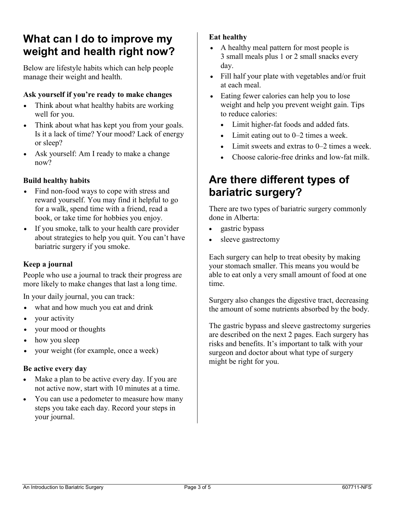# **What can I do to improve my weight and health right now?**

Below are lifestyle habits which can help people manage their weight and health.

#### **Ask yourself if you're ready to make changes**

- Think about what healthy habits are working well for you.
- Think about what has kept you from your goals. Is it a lack of time? Your mood? Lack of energy or sleep?
- Ask yourself: Am I ready to make a change now?

#### **Build healthy habits**

- Find non-food ways to cope with stress and reward yourself. You may find it helpful to go for a walk, spend time with a friend, read a book, or take time for hobbies you enjoy.
- If you smoke, talk to your health care provider about strategies to help you quit. You can't have bariatric surgery if you smoke.

#### **Keep a journal**

People who use a journal to track their progress are more likely to make changes that last a long time.

In your daily journal, you can track:

- what and how much you eat and drink
- your activity
- your mood or thoughts
- how you sleep
- your weight (for example, once a week)

#### **Be active every day**

- Make a plan to be active every day. If you are not active now, start with 10 minutes at a time.
- You can use a pedometer to measure how many steps you take each day. Record your steps in your journal.

#### **Eat healthy**

- A healthy meal pattern for most people is 3 small meals plus 1 or 2 small snacks every day.
- Fill half your plate with vegetables and/or fruit at each meal.
- Eating fewer calories can help you to lose weight and help you prevent weight gain. Tips to reduce calories:
	- Limit higher-fat foods and added fats.
	- Limit eating out to 0–2 times a week.
	- Limit sweets and extras to 0–2 times a week.
	- Choose calorie-free drinks and low-fat milk.

### **Are there different types of bariatric surgery?**

There are two types of bariatric surgery commonly done in Alberta:

- gastric bypass
- sleeve gastrectomy

Each surgery can help to treat obesity by making your stomach smaller. This means you would be able to eat only a very small amount of food at one time.

Surgery also changes the digestive tract, decreasing the amount of some nutrients absorbed by the body.

The gastric bypass and sleeve gastrectomy surgeries are described on the next 2 pages. Each surgery has risks and benefits. It's important to talk with your surgeon and doctor about what type of surgery might be right for you.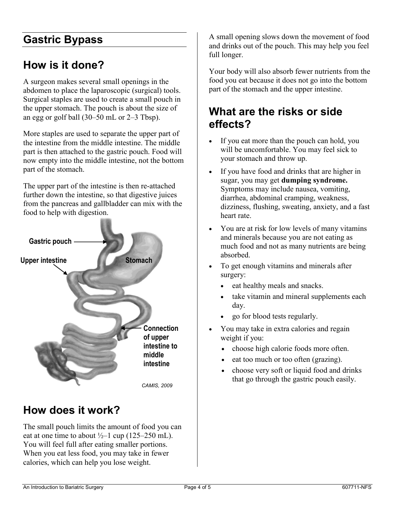## **Gastric Bypass**

## **How is it done?**

A surgeon makes several small openings in the abdomen to place the laparoscopic (surgical) tools. Surgical staples are used to create a small pouch in the upper stomach. The pouch is about the size of an egg or golf ball (30–50 mL or 2–3 Tbsp).

More staples are used to separate the upper part of the intestine from the middle intestine. The middle part is then attached to the gastric pouch. Food will now empty into the middle intestine, not the bottom part of the stomach.

The upper part of the intestine is then re-attached further down the intestine, so that digestive juices from the pancreas and gallbladder can mix with the food to help with digestion.



### **How does it work?**

The small pouch limits the amount of food you can eat at one time to about  $\frac{1}{2}$ –1 cup (125–250 mL). You will feel full after eating smaller portions. When you eat less food, you may take in fewer calories, which can help you lose weight.

A small opening slows down the movement of food and drinks out of the pouch. This may help you feel full longer.

Your body will also absorb fewer nutrients from the food you eat because it does not go into the bottom part of the stomach and the upper intestine.

# **What are the risks or side effects?**

- If you eat more than the pouch can hold, you will be uncomfortable. You may feel sick to your stomach and throw up.
- If you have food and drinks that are higher in sugar, you may get **dumping syndrome.** Symptoms may include nausea, vomiting, diarrhea, abdominal cramping, weakness, dizziness, flushing, sweating, anxiety, and a fast heart rate.
- You are at risk for low levels of many vitamins and minerals because you are not eating as much food and not as many nutrients are being absorbed.
- To get enough vitamins and minerals after surgery:
	- eat healthy meals and snacks.
	- take vitamin and mineral supplements each day.
	- go for blood tests regularly.
- You may take in extra calories and regain weight if you:
	- choose high calorie foods more often.
	- eat too much or too often (grazing).
	- choose very soft or liquid food and drinks that go through the gastric pouch easily.